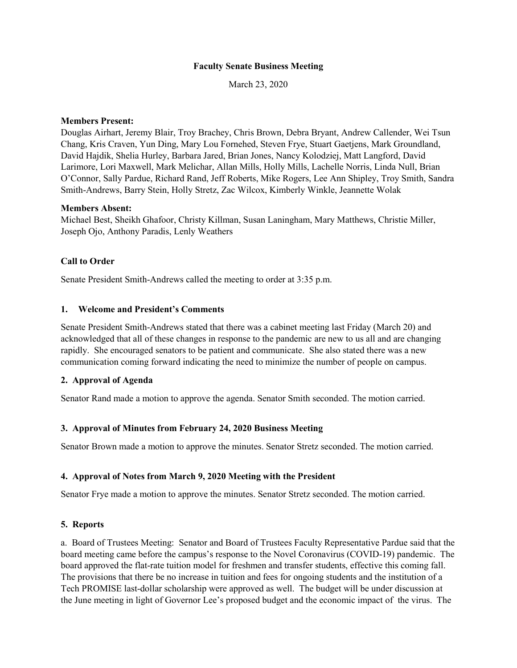## **Faculty Senate Business Meeting**

March 23, 2020

## **Members Present:**

Douglas Airhart, Jeremy Blair, Troy Brachey, Chris Brown, Debra Bryant, Andrew Callender, Wei Tsun Chang, Kris Craven, Yun Ding, Mary Lou Fornehed, Steven Frye, Stuart Gaetjens, Mark Groundland, David Hajdik, Shelia Hurley, Barbara Jared, Brian Jones, Nancy Kolodziej, Matt Langford, David Larimore, Lori Maxwell, Mark Melichar, Allan Mills, Holly Mills, Lachelle Norris, Linda Null, Brian O'Connor, Sally Pardue, Richard Rand, Jeff Roberts, Mike Rogers, Lee Ann Shipley, Troy Smith, Sandra Smith-Andrews, Barry Stein, Holly Stretz, Zac Wilcox, Kimberly Winkle, Jeannette Wolak

### **Members Absent:**

Michael Best, Sheikh Ghafoor, Christy Killman, Susan Laningham, Mary Matthews, Christie Miller, Joseph Ojo, Anthony Paradis, Lenly Weathers

## **Call to Order**

Senate President Smith-Andrews called the meeting to order at 3:35 p.m.

### **1. Welcome and President's Comments**

Senate President Smith-Andrews stated that there was a cabinet meeting last Friday (March 20) and acknowledged that all of these changes in response to the pandemic are new to us all and are changing rapidly. She encouraged senators to be patient and communicate. She also stated there was a new communication coming forward indicating the need to minimize the number of people on campus.

## **2. Approval of Agenda**

Senator Rand made a motion to approve the agenda. Senator Smith seconded. The motion carried.

## **3. Approval of Minutes from February 24, 2020 Business Meeting**

Senator Brown made a motion to approve the minutes. Senator Stretz seconded. The motion carried.

#### **4. Approval of Notes from March 9, 2020 Meeting with the President**

Senator Frye made a motion to approve the minutes. Senator Stretz seconded. The motion carried.

## **5. Reports**

a. Board of Trustees Meeting: Senator and Board of Trustees Faculty Representative Pardue said that the board meeting came before the campus's response to the Novel Coronavirus (COVID-19) pandemic. The board approved the flat-rate tuition model for freshmen and transfer students, effective this coming fall. The provisions that there be no increase in tuition and fees for ongoing students and the institution of a Tech PROMISE last-dollar scholarship were approved as well. The budget will be under discussion at the June meeting in light of Governor Lee's proposed budget and the economic impact of the virus. The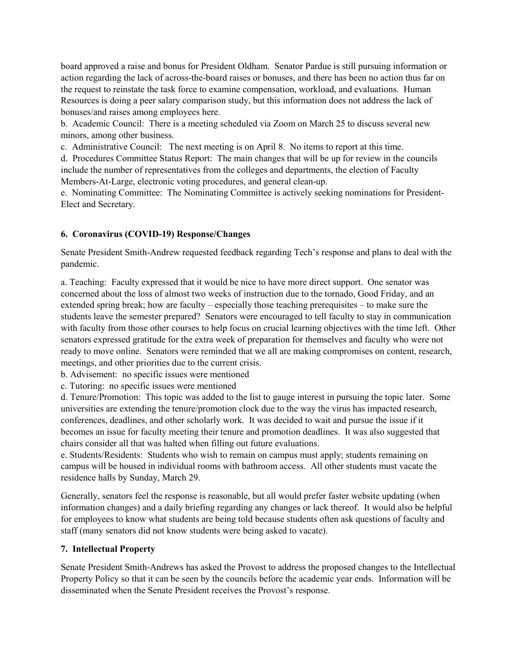board approved a raise and bonus for President Oldham. Senator Pardue is still pursuing information or action regarding the lack of across-the-board raises or bonuses, and there has been no action thus far on the request to reinstate the task force to examine compensation, workload, and evaluations. Human Resources is doing a peer salary comparison study, but this information does not address the lack of bonuses/and raises among employees here.

b. Academic Council: There is a meeting scheduled via Zoom on March 25 to discuss several new minors, among other business.

c. Administrative Council: The next meeting is on April 8. No items to report at this time.

d. Procedures Committee Status Report: The main changes that will be up for review in the councils include the number of representatives from the colleges and departments, the election of Faculty Members-At-Large, electronic voting procedures, and general clean-up.

e. Nominating Committee: The Nominating Committee is actively seeking nominations for President-Elect and Secretary.

# **6. Coronavirus (COVID-19) Response/Changes**

Senate President Smith-Andrew requested feedback regarding Tech's response and plans to deal with the pandemic.

a. Teaching: Faculty expressed that it would be nice to have more direct support. One senator was concerned about the loss of almost two weeks of instruction due to the tornado, Good Friday, and an extended spring break; how are faculty – especially those teaching prerequisites – to make sure the students leave the semester prepared? Senators were encouraged to tell faculty to stay in communication with faculty from those other courses to help focus on crucial learning objectives with the time left. Other senators expressed gratitude for the extra week of preparation for themselves and faculty who were not ready to move online. Senators were reminded that we all are making compromises on content, research, meetings, and other priorities due to the current crisis.

b. Advisement: no specific issues were mentioned

c. Tutoring: no specific issues were mentioned

d. Tenure/Promotion: This topic was added to the list to gauge interest in pursuing the topic later. Some universities are extending the tenure/promotion clock due to the way the virus has impacted research, conferences, deadlines, and other scholarly work. It was decided to wait and pursue the issue if it becomes an issue for faculty meeting their tenure and promotion deadlines. It was also suggested that chairs consider all that was halted when filling out future evaluations.

e. Students/Residents: Students who wish to remain on campus must apply; students remaining on campus will be housed in individual rooms with bathroom access. All other students must vacate the residence halls by Sunday, March 29.

Generally, senators feel the response is reasonable, but all would prefer faster website updating (when information changes) and a daily briefing regarding any changes or lack thereof. It would also be helpful for employees to know what students are being told because students often ask questions of faculty and staff (many senators did not know students were being asked to vacate).

# **7. Intellectual Property**

Senate President Smith-Andrews has asked the Provost to address the proposed changes to the Intellectual Property Policy so that it can be seen by the councils before the academic year ends. Information will be disseminated when the Senate President receives the Provost's response.